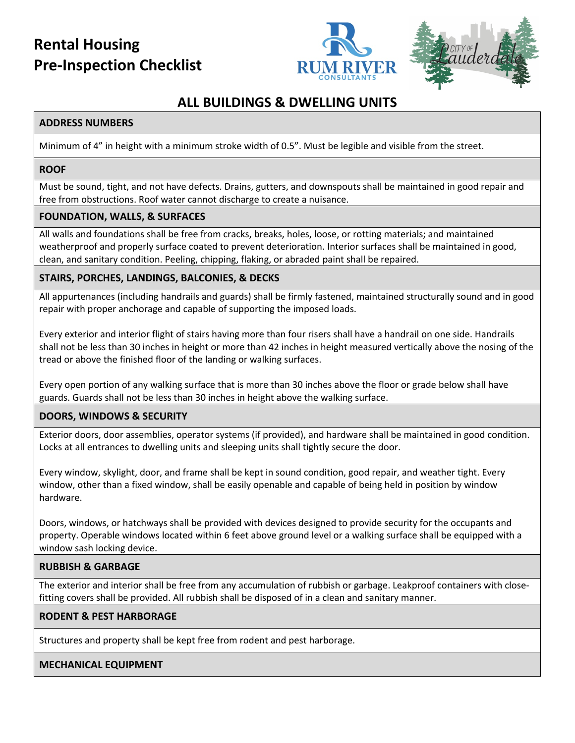# **Rental Housing Pre-Inspection Checklist**





## **ALL BUILDINGS & DWELLING UNITS**

## **ADDRESS NUMBERS**

Minimum of 4" in height with a minimum stroke width of 0.5". Must be legible and visible from the street.

## **ROOF**

Must be sound, tight, and not have defects. Drains, gutters, and downspouts shall be maintained in good repair and free from obstructions. Roof water cannot discharge to create a nuisance.

## **FOUNDATION, WALLS, & SURFACES**

All walls and foundations shall be free from cracks, breaks, holes, loose, or rotting materials; and maintained weatherproof and properly surface coated to prevent deterioration. Interior surfaces shall be maintained in good, clean, and sanitary condition. Peeling, chipping, flaking, or abraded paint shall be repaired.

## **STAIRS, PORCHES, LANDINGS, BALCONIES, & DECKS**

All appurtenances (including handrails and guards) shall be firmly fastened, maintained structurally sound and in good repair with proper anchorage and capable of supporting the imposed loads.

Every exterior and interior flight of stairs having more than four risers shall have a handrail on one side. Handrails shall not be less than 30 inches in height or more than 42 inches in height measured vertically above the nosing of the tread or above the finished floor of the landing or walking surfaces.

Every open portion of any walking surface that is more than 30 inches above the floor or grade below shall have guards. Guards shall not be less than 30 inches in height above the walking surface.

## **DOORS, WINDOWS & SECURITY**

Exterior doors, door assemblies, operator systems (if provided), and hardware shall be maintained in good condition. Locks at all entrances to dwelling units and sleeping units shall tightly secure the door.

Every window, skylight, door, and frame shall be kept in sound condition, good repair, and weather tight. Every window, other than a fixed window, shall be easily openable and capable of being held in position by window hardware.

Doors, windows, or hatchways shall be provided with devices designed to provide security for the occupants and property. Operable windows located within 6 feet above ground level or a walking surface shall be equipped with a window sash locking device.

## **RUBBISH & GARBAGE**

The exterior and interior shall be free from any accumulation of rubbish or garbage. Leakproof containers with closefitting covers shall be provided. All rubbish shall be disposed of in a clean and sanitary manner.

## **RODENT & PEST HARBORAGE**

Structures and property shall be kept free from rodent and pest harborage.

## **MECHANICAL EQUIPMENT**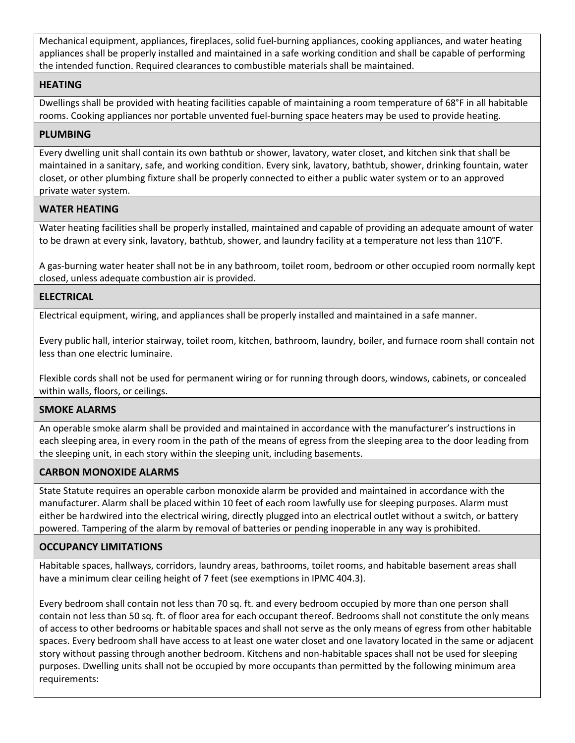Mechanical equipment, appliances, fireplaces, solid fuel-burning appliances, cooking appliances, and water heating appliances shall be properly installed and maintained in a safe working condition and shall be capable of performing the intended function. Required clearances to combustible materials shall be maintained.

#### **HEATING**

Dwellings shall be provided with heating facilities capable of maintaining a room temperature of 68°F in all habitable rooms. Cooking appliances nor portable unvented fuel-burning space heaters may be used to provide heating.

#### **PLUMBING**

Every dwelling unit shall contain its own bathtub or shower, lavatory, water closet, and kitchen sink that shall be maintained in a sanitary, safe, and working condition. Every sink, lavatory, bathtub, shower, drinking fountain, water closet, or other plumbing fixture shall be properly connected to either a public water system or to an approved private water system.

## **WATER HEATING**

Water heating facilities shall be properly installed, maintained and capable of providing an adequate amount of water to be drawn at every sink, lavatory, bathtub, shower, and laundry facility at a temperature not less than 110°F.

A gas-burning water heater shall not be in any bathroom, toilet room, bedroom or other occupied room normally kept closed, unless adequate combustion air is provided.

## **ELECTRICAL**

Electrical equipment, wiring, and appliances shall be properly installed and maintained in a safe manner.

Every public hall, interior stairway, toilet room, kitchen, bathroom, laundry, boiler, and furnace room shall contain not less than one electric luminaire.

Flexible cords shall not be used for permanent wiring or for running through doors, windows, cabinets, or concealed within walls, floors, or ceilings.

#### **SMOKE ALARMS**

An operable smoke alarm shall be provided and maintained in accordance with the manufacturer's instructions in each sleeping area, in every room in the path of the means of egress from the sleeping area to the door leading from the sleeping unit, in each story within the sleeping unit, including basements.

## **CARBON MONOXIDE ALARMS**

State Statute requires an operable carbon monoxide alarm be provided and maintained in accordance with the manufacturer. Alarm shall be placed within 10 feet of each room lawfully use for sleeping purposes. Alarm must either be hardwired into the electrical wiring, directly plugged into an electrical outlet without a switch, or battery powered. Tampering of the alarm by removal of batteries or pending inoperable in any way is prohibited.

## **OCCUPANCY LIMITATIONS**

Habitable spaces, hallways, corridors, laundry areas, bathrooms, toilet rooms, and habitable basement areas shall have a minimum clear ceiling height of 7 feet (see exemptions in IPMC 404.3).

Every bedroom shall contain not less than 70 sq. ft. and every bedroom occupied by more than one person shall contain not less than 50 sq. ft. of floor area for each occupant thereof. Bedrooms shall not constitute the only means of access to other bedrooms or habitable spaces and shall not serve as the only means of egress from other habitable spaces. Every bedroom shall have access to at least one water closet and one lavatory located in the same or adjacent story without passing through another bedroom. Kitchens and non-habitable spaces shall not be used for sleeping purposes. Dwelling units shall not be occupied by more occupants than permitted by the following minimum area requirements: